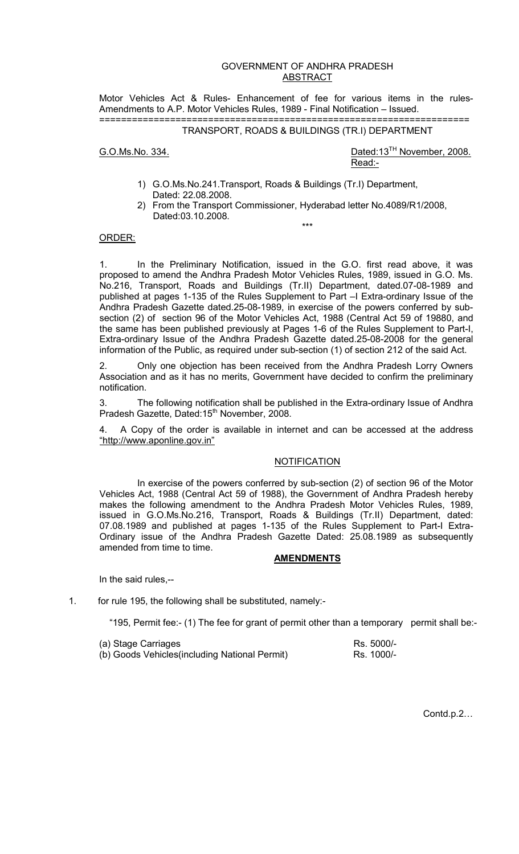# GOVERNMENT OF ANDHRA PRADESH ABSTRACT

Motor Vehicles Act & Rules- Enhancement of fee for various items in the rules-Amendments to A.P. Motor Vehicles Rules, 1989 - Final Notification – Issued. ====================================================================

## TRANSPORT, ROADS & BUILDINGS (TR.I) DEPARTMENT

G.O.Ms.No. 334. Dated:13<sup>TH</sup> November, 2008. <u>Read:- http://www.information.com/information.com/information.com/information.com</u>

- 1) G.O.Ms.No.241.Transport, Roads & Buildings (Tr.I) Department, Dated: 22.08.2008.
- 2) From the Transport Commissioner, Hyderabad letter No.4089/R1/2008, Dated:03.10.2008.

\*\*\*

### ORDER:

1. In the Preliminary Notification, issued in the G.O. first read above, it was proposed to amend the Andhra Pradesh Motor Vehicles Rules, 1989, issued in G.O. Ms. No.216, Transport, Roads and Buildings (Tr.II) Department, dated.07-08-1989 and published at pages 1-135 of the Rules Supplement to Part –I Extra-ordinary Issue of the Andhra Pradesh Gazette dated.25-08-1989, in exercise of the powers conferred by subsection (2) of section 96 of the Motor Vehicles Act, 1988 (Central Act 59 of 19880, and the same has been published previously at Pages 1-6 of the Rules Supplement to Part-I, Extra-ordinary Issue of the Andhra Pradesh Gazette dated.25-08-2008 for the general information of the Public, as required under sub-section (1) of section 212 of the said Act.

2. Only one objection has been received from the Andhra Pradesh Lorry Owners Association and as it has no merits, Government have decided to confirm the preliminary notification.

3. The following notification shall be published in the Extra-ordinary Issue of Andhra Pradesh Gazette, Dated:15<sup>th</sup> November, 2008.

4. A Copy of the order is available in internet and can be accessed at the address "http://www.aponline.gov.in"

#### **NOTIFICATION**

 In exercise of the powers conferred by sub-section (2) of section 96 of the Motor Vehicles Act, 1988 (Central Act 59 of 1988), the Government of Andhra Pradesh hereby makes the following amendment to the Andhra Pradesh Motor Vehicles Rules, 1989, issued in G.O.Ms.No.216, Transport, Roads & Buildings (Tr.II) Department, dated: 07.08.1989 and published at pages 1-135 of the Rules Supplement to Part-I Extra-Ordinary issue of the Andhra Pradesh Gazette Dated: 25.08.1989 as subsequently amended from time to time.

## **AMENDMENTS**

In the said rules,--

1. for rule 195, the following shall be substituted, namely:-

"195, Permit fee:- (1) The fee for grant of permit other than a temporary permit shall be:-

| (a) Stage Carriages                            | Rs. 5000/- |
|------------------------------------------------|------------|
| (b) Goods Vehicles (including National Permit) | Rs. 1000/- |

Contd.p.2…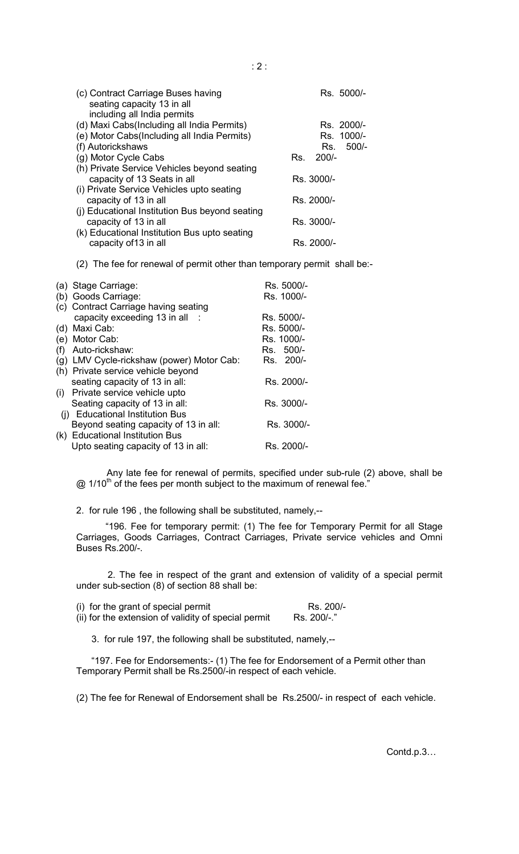| (c) Contract Carriage Buses having<br>seating capacity 13 in all<br>including all India permits | Rs. 5000/- |
|-------------------------------------------------------------------------------------------------|------------|
| (d) Maxi Cabs(Including all India Permits)                                                      | Rs. 2000/- |
| (e) Motor Cabs(Including all India Permits)                                                     | Rs. 1000/- |
| (f) Autorickshaws                                                                               | Rs. 500/-  |
| (g) Motor Cycle Cabs                                                                            | Rs. 200/-  |
| (h) Private Service Vehicles beyond seating<br>capacity of 13 Seats in all                      | Rs. 3000/- |
| (i) Private Service Vehicles upto seating<br>capacity of 13 in all                              | Rs. 2000/- |
| (i) Educational Institution Bus beyond seating<br>capacity of 13 in all                         | Rs. 3000/- |
| (k) Educational Institution Bus upto seating<br>capacity of 13 in all                           | Rs. 2000/- |

(2) The fee for renewal of permit other than temporary permit shall be:-

|     | (a) Stage Carriage:                   | Rs. 5000/- |
|-----|---------------------------------------|------------|
|     | (b) Goods Carriage:                   | Rs. 1000/- |
|     | (c) Contract Carriage having seating  |            |
|     | capacity exceeding 13 in all          | Rs. 5000/- |
|     | (d) Maxi Cab:                         | Rs. 5000/- |
|     | (e) Motor Cab:                        | Rs. 1000/- |
| (f) | Auto-rickshaw:                        | Rs. 500/-  |
| (g) | LMV Cycle-rickshaw (power) Motor Cab: | Rs. 200/-  |
|     | (h) Private service vehicle beyond    |            |
|     | seating capacity of 13 in all:        | Rs. 2000/- |
|     | (i) Private service vehicle upto      |            |
|     | Seating capacity of 13 in all:        | Rs. 3000/- |
|     | (i) Educational Institution Bus       |            |
|     | Beyond seating capacity of 13 in all: | Rs. 3000/- |
|     | (k) Educational Institution Bus       |            |
|     | Upto seating capacity of 13 in all:   | Rs. 2000/- |

Any late fee for renewal of permits, specified under sub-rule (2) above, shall be  $\omega$  1/10<sup>th</sup> of the fees per month subject to the maximum of renewal fee.<sup>"</sup>

2. for rule 196 , the following shall be substituted, namely,--

"196. Fee for temporary permit: (1) The fee for Temporary Permit for all Stage Carriages, Goods Carriages, Contract Carriages, Private service vehicles and Omni Buses Rs.200/-.

2. The fee in respect of the grant and extension of validity of a special permit under sub-section (8) of section 88 shall be:

(i) for the grant of special permit  $R$ s. 200/-<br>(ii) for the extension of validity of special permit  $R$ s. 200/-." (ii) for the extension of validity of special permit

3. for rule 197, the following shall be substituted, namely,--

"197. Fee for Endorsements:- (1) The fee for Endorsement of a Permit other than Temporary Permit shall be Rs.2500/-in respect of each vehicle.

(2) The fee for Renewal of Endorsement shall be Rs.2500/- in respect of each vehicle.

Contd.p.3…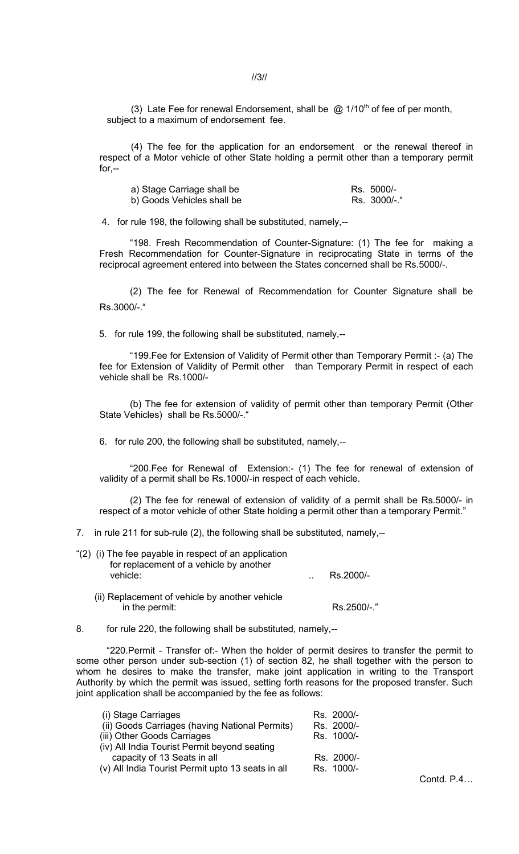//3//

(3) Late Fee for renewal Endorsement, shall be  $@$  1/10<sup>th</sup> of fee of per month, subject to a maximum of endorsement fee.

(4) The fee for the application for an endorsement or the renewal thereof in respect of a Motor vehicle of other State holding a permit other than a temporary permit for  $-$ 

| a) Stage Carriage shall be | Rs. 5000/-   |
|----------------------------|--------------|
| b) Goods Vehicles shall be | Rs. 3000/-." |

4. for rule 198, the following shall be substituted, namely,--

"198. Fresh Recommendation of Counter-Signature: (1) The fee for making a Fresh Recommendation for Counter-Signature in reciprocating State in terms of the reciprocal agreement entered into between the States concerned shall be Rs.5000/-.

(2) The fee for Renewal of Recommendation for Counter Signature shall be Rs.3000/-."

5. for rule 199, the following shall be substituted, namely,--

"199.Fee for Extension of Validity of Permit other than Temporary Permit :- (a) The fee for Extension of Validity of Permit other than Temporary Permit in respect of each vehicle shall be Rs.1000/-

(b) The fee for extension of validity of permit other than temporary Permit (Other State Vehicles) shall be Rs.5000/-."

6. for rule 200, the following shall be substituted, namely,--

"200.Fee for Renewal of Extension:- (1) The fee for renewal of extension of validity of a permit shall be Rs.1000/-in respect of each vehicle.

(2) The fee for renewal of extension of validity of a permit shall be Rs.5000/- in respect of a motor vehicle of other State holding a permit other than a temporary Permit."

7. in rule 211 for sub-rule (2), the following shall be substituted, namely,--

| Rs.2000/- |
|-----------|
|           |

- (ii) Replacement of vehicle by another vehicle in the permit: Rs.2500/-."
- 8. for rule 220, the following shall be substituted, namely,--

"220.Permit - Transfer of:- When the holder of permit desires to transfer the permit to some other person under sub-section (1) of section 82, he shall together with the person to whom he desires to make the transfer, make joint application in writing to the Transport Authority by which the permit was issued, setting forth reasons for the proposed transfer. Such joint application shall be accompanied by the fee as follows:

| (i) Stage Carriages                               | Rs. 2000/- |
|---------------------------------------------------|------------|
| (ii) Goods Carriages (having National Permits)    | Rs. 2000/- |
| (iii) Other Goods Carriages                       | Rs. 1000/- |
| (iv) All India Tourist Permit beyond seating      |            |
| capacity of 13 Seats in all                       | Rs. 2000/- |
| (v) All India Tourist Permit upto 13 seats in all | Rs. 1000/- |
|                                                   |            |